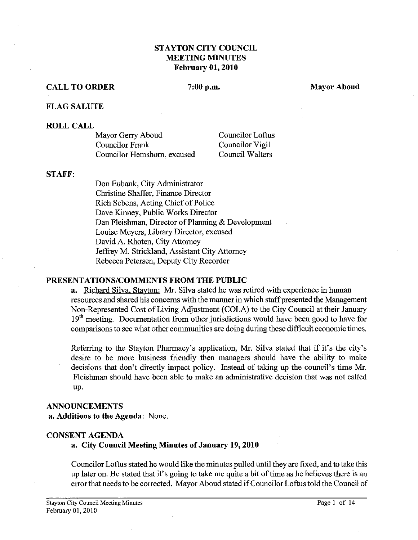# **STAYTON CITY COUNCIL MEETING MINUTES February 01,2010**

#### **CALL TO ORDER** 7:00 p.m. Mayor Aboud **Mayor Aboud**

#### **FLAG SALUTE**

#### **ROLL CALL**

| Mayor Gerry Aboud           | <b>Councilor Loftus</b> |
|-----------------------------|-------------------------|
| Councilor Frank             | Councilor Vigil         |
| Councilor Hemshorn, excused | Council Walters         |

#### **STAFF:**

Don Eubank, City Administrator Christine Shaffer, Finance Director Rich Sebens, Acting Chief of Police Dave Kinney, Public Works Director Dan Fleishman, Director of Planning & Development Louise Meyers, Library Director, excused David A. Rhoten, City Attorney Jeffrey M. Strickland, Assistant City Attorney Rebecca Petersen, Deputy City Recorder

#### **PRESENTATIONSICOMMENTS FROM THE PUBLIC**

**a.** Richard Silva, Stavton: Mr. Silva stated he was retired with experience in human resources and shared his concerns with the manner in which staff presented the Management Non-Represented Cost of Living Adjustment (COLA) to the city Council at their  $19<sup>th</sup>$  meeting. Documentation from other jurisdictions would have been good to have for comparisons to see what other communities are doing during these difficult economic times.

Referring to the Stayton Pharmacy's application, Mr. Silva stated that if it's the city's desire to be more business friendly then managers should have the ability to make decisions that don't directly impact policy. Instead of taking up the council's time Mr. Fleishman should have been able to make an administrative decision that was not called UP.

#### **ANNOUNCEMENTS**

**a. Additions to the Agenda:** None.

#### **CONSENT AGENDA**

#### **a. City Council Meeting Minutes of January 19,2010**

Councilor Loftus stated he would like the minutes pulled until they are fixed, and to take this up later on. He stated that it's going to take me quite a bit of time as he believes there is an error that needs to be corrected. Mayor Aboud stated if Councilor Loftus told the Council of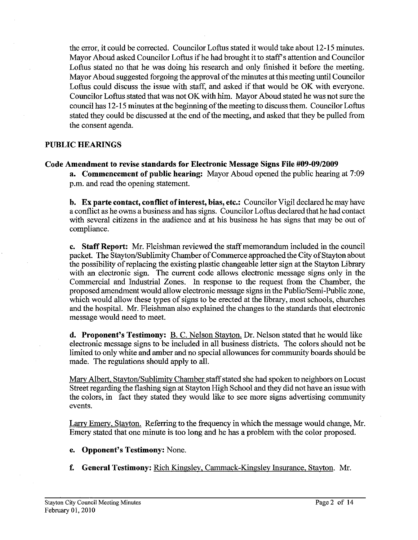the error, it could be corrected. Councilor Loftus stated it would take about 12-15 minutes. Mayor Aboud asked Councilor Loftus if he had brought it to staff's attention and Councilor Loftus stated no that he was doing his research and only finished it before the meeting. Mayor Aboud suggested forgoing the approval of the minutes at this meeting until Councilor Loftus could discuss the issue with staff, and asked if that would be OK with everyone. Councilor Loftus stated that was not OK with him. Mayor Aboud stated he was not sure the council has 12-15 minutes at the beginning of the meeting to discuss them. Councilor Loftus stated they could be discussed at the end of the meeting, and asked that they be pulled from the consent agenda.

### **PUBLIC HEARINGS**

# **Code Amendment to revise standards for Electronic Message Signs File #09-0912009**

**a. Commencement of public hearing:** Mayor Aboud opened the public hearing at 7:09 p.m. and read the opening statement.

b. **Ex parte contact, conflict of interest, bias, etc.:** Councilor Vigil declared he may have a conflict as he owns a business and has signs. Councilor Loftus declared that he had contact with several citizens in the audience and at his business he has signs that may be out of compliance.

**c. Staff Report: Mr.** Fleishman reviewed the staff memorandum included in the council packet. The Stayton/Sublimity Chamber of Commerce approached the City of Stayton about the possibility of replacing the existing plastic changeable letter sign at the Stayton Library with an electronic sign. The current code allows electronic message signs only in the Commercial and Industrial Zones. In response to the request from the Chamber, the proposed amendment would allow electronic message signs in the Public/Semi-Public zone, which would allow these types of signs to be erected at the library, most schools, churches and the hospital. Mr. Fleishman also explained the changes to the standards that electronic message would need to meet.

**d. Proponent's Testimony:** B. C. Nelson Stayton. Dr. Nelson stated that he would like electronic message signs to be included in all business districts. The colors should not be limited to only white and amber and no special allowances for community boards should be made. The regulations should apply to all.

Mary Albert, Stayton/Sublimity Chamber staff stated she had spoken to neighbors on Locust Street regarding the flashing sign at Stayton High School and they did not have an issue with the colors, in fact they stated they would like to see more signs advertising community events.

**Lany** Emery, Stavton. Referring to the frequency in which the message would change, Mr. Emery stated that one minute is too long and he has a problem with the color proposed.

- **e. Opponent's Testimony:** None
- **f. General Testimony:** Rich Kingslev, Camrnack-Kingslev Insurance, Stavton. Mr.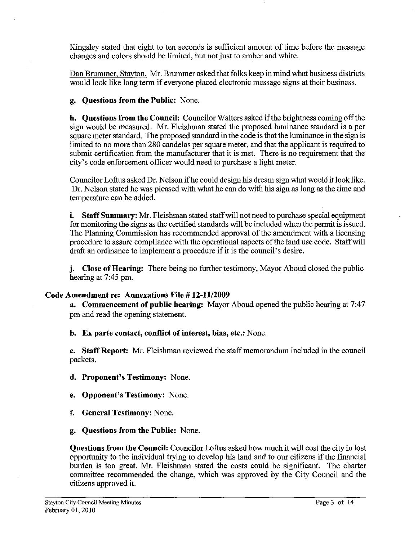Kingsley stated that eight to ten seconds is sufficient amount of time before the message changes and colors should be limited, but not just to amber and white.

Dan Brummer, Stayton. Mr. Brummer asked that folks keep in mind what business districts would look like long term if everyone placed electronic message signs at their business.

**g. Questions from the Public:** None.

**b. Questions from the Council:** Councilor Walters asked if the brightness coming off the sign would be measured. Mr. Fleishman stated the proposed luminance standard is a per square meter standard. The proposed standard in the code is that the luminance in the sign is limited to no more than 280 candelas per square meter, and that the applicant is required to submit certification from the manufacturer that it is met. There is no requirement that the city's code enforcement officer would need to purchase a light meter.

Councilor Loftus asked Dr. Nelson if he could design his dream sign what would it look like. Dr. Nelson stated he was pleased with what he can do with his sign as long as the time and temperature can be added.

**i.** Staff Summary: Mr. Fleishman stated staff will not need to purchase special equipment for monitoring the signs as the certified standards will be included when the permit is issued. The Planning Commission has recommended approval of the amendment with a licensing procedure to assure compliance with the operational aspects of the land use code. Staff will draft an ordinance to implement a procedure if it is the council's desire.

**j. Close of Hearing:** There being no further testimony, Mayor Aboud closed the public hearing at 7:45 pm.

### **Code Amendment re: Annexations Fie** # **12-11/2009**

**a. Commencement of public bearing:** Mayor Aboud opened the public hearing at 7:47 pm and read the opening statement.

**b. Ex parte contact, conflict of interest, bias, etc.:** None.

**c. Staff Report: Mr.** Fleishman reviewed the staff memorandum included in the council packets.

**d. Proponent's Testimony:** None.

**e. Opponent's Testimony:** None.

- **f. General Testimony:** None.
- **g. Questions from the Public:** None,

**Questions from the Council:** Councilor Loftus asked how much it will cost the city in lost opportunity to the individual trying to develop his land and to our citizens if the financial burden is too great. Mr. Fleishman stated the costs could be significant. The charter committee recommended the change, which was approved by the City Council and the citizens approved it.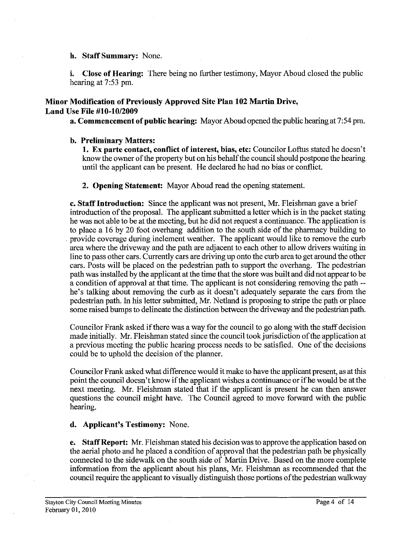#### **h. Staff Summary:** None.

**i. Close of Hearing:** There being no further testimony, Mayor Aboud closed the public hearing at 7:53 pm.

### **Minor Modification of Previously Approved Site Plan 102 Martin Drive,**  Land Use File #10-10/2009

**a. Commencement of public hearing:** Mayor Aboud opened the public hearing at 7:54 pm.

### **b. Preliminary Matters:**

**1. Ex parte contact, conflict of interest, bias, etc:** Councilor Loftus stated he doesn't know the owner of the property but on his behalf the council should postpone the hearing until the applicant can be present. He declared he had no bias or conflict.

### **2. Opening Statement:** Mayor Aboud read the opening statement.

**c. Staff Introduction:** Since the applicant was not present, Mr. Fleishman gave a brief introduction of the proposal. The applicant submitted a letter which is in the packet stating he was not able to be at the meeting, but he did not request a continuance. The application is to place a 16 by 20 foot overhang addition to the south side of the pharmacy building to provide coverage during inclement weather. The applicant would like to remove the curb area where the driveway and the path are adjacent to each other to allow drivers waiting in line to pass other cars. Currently cars are driving up onto the curb area to get around the other cars. Posts will be placed on the pedestrian path to support the overhang. The pedestrian path was installed by the applicant at the time that the store was built and did not appear to be a condition of approval at that time. The applicant is not considering removing the path - he's talking about removing the curb as it doesn't adequately separate the cars from the pedestrian path. In his letter submitted, Mr. Netland is proposing to stripe the path or place some raised bumps to delineate the distinction between the driveway and the pedestrian path.

Councilor Frank asked if there was a way for the council to go along with the staff decision made initially. Mr. Fleishman stated since the council took jurisdiction of the application at a previous meeting the public hearing process needs to be satisfied. One of the decisions could be to uphold the decision of the planner.

Councilor Frank asked what difference would it make to have the applicant present, **as** at this point the council doesn't know if the applicant wishes a continuance or if he would be at the next meeting. Mr. Fleishman stated that if the applicant is present he can then answer questions the council might have. The Council agreed to move forward with the public hearing.

# **d. Applicant's Testimony:** None.

**e. Staff Report: Mr.** Fleishman stated his decision was to approve the application based on the aerial photo and he placed a condition of approval that the pedestrian path be physically connected to the sidewalk on the south side of Martin Drive. Based on the more complete information fiom the applicant about his plans, Mr. Fleishman **as** recommended that the council require the applicant to visually distinguish those portions of the pedestrian walkway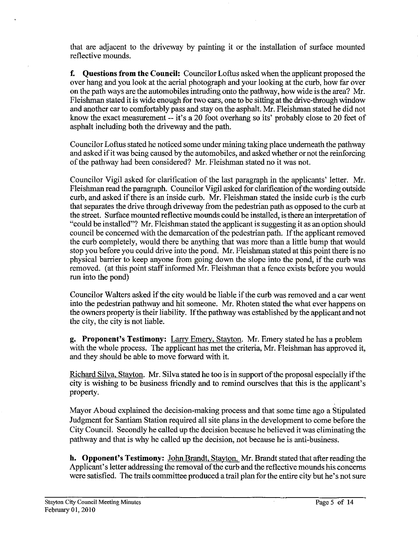that are adjacent to the driveway by painting it or the installation of surface mounted reflective mounds.

**f. Questions from the Council:** Councilor Loftus asked when the applicant proposed the over hang and you look at the aerial photograph and your looking at the curb, how far over on the path ways are the automobiles intruding onto the pathway, how wide is the area? Mr. Fleishman stated it is wide enough for two cars, one to be sitting at the drive-through window and another car to comfortably pass and stay on the asphalt. Mr. Fleishman stated he did not know the exact measurement -- it's a 20 foot overhang so its' probably close to 20 feet of asphalt including both the driveway and the path.

Councilor Loftus stated he noticed some under mining taking place underneath the pathway and asked if it was being caused by the automobiles, and asked whether or not the reinforcing of the pathway had been considered? Mr. Fleishman stated no it was not.

Councilor Vigil asked for clarification of the last paragraph in the applicants' letter. Mr. Fleishman read the paragraph. Councilor Vigil asked for clarification of the wording outside curb, and asked if there is an inside curb. Mr. Fleishman stated the inside curb is the curb that separates the drive through driveway from the pedestrian path as opposed to the curb at the street. Surface mounted reflective mounds could be installed, is there an interpretation of "could be installed"? Mr. Fleishman stated the applicant is suggesting it as an option should council be concerned with the demarcation of the pedestrian path. If the applicant removed the curb completely, would there be anything that was more than a little bump that would stop you before you could drive into the pond. Mr. Fleishman stated at this point there is no physical barrier to keep anyone from going down the slope into the pond, if the curb was removed. (at this point staff informed Mr. Fleishman that a fence exists before you would run into the pond)

Councilor Walters asked if the city would be liable if the curb was removed and a car went into the pedestrian pathway and hit someone. Mr. Rhoten stated the what ever happens on the owners property is their liability. If the pathway was established by the applicant and not the city, the city is not liable.

**g. Proponent's Testimony:** Larry Emery, Stavton. Mr. Emery stated he has a problem with the whole process. The applicant has met the criteria, Mr. Fleishman has approved it, and they should be able to move forward with it.

Richard Silva Stavton. Mr. Silva stated he too is in support of the proposal especially if the city is wishing to be business friendly and to remind ourselves that this is the applicant's property.

Mayor Aboud explained the decision-making process and that some time ago a stipulated Judgment for Santiam Station required all site plans in the development to come before the City Council. Secondly he called up the decision because he believed it was eliminating the pathway and that is why he called up the decision, not because he is anti-business.

**h. Opponent's Testimony:** John Brandt, Stavton. Mr. Brandt stated that after reading the Applicant's letter addressing the removal of the curb and the reflective mounds his concerns were satisfied. The trails committee produced a trail plan for the entire city but he's not sure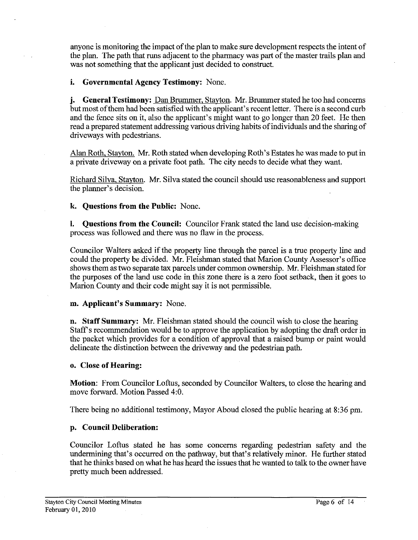anyone is monitoring the impact of the plan to make sure development respects the intent of the plan. The path that runs adjacent to the pharmacy was part of the master trails plan and was not something that the applicant just decided to construct.

### **i. Governmental Agency Testimony:** None.

**j. General Testimony:** Dan Brummer. Stavton. Mr. Brummer stated he too had concerns but most of them had been satisfied with the applicant's recent letter. There is a second curb and the fence sits on it, also the applicant's might want to go longer than 20 feet. He then read a prepared statement addressing various driving habits of individuals and the sharing of driveways with pedestrians.

Alan Roth, Stavton. Mr. Roth stated when developing Roth's Estates he was made to put in a private driveway on a private foot path. The city needs to decide what they want.

Richard Silva, Stayton. Mr. Silva stated the council should use reasonableness and support the planner's decision.

**k. Questions from the Public:** None.

**I. Questions from the Council:** Councilor Frank stated the land use decision-making process was followed and there was no flaw in the process.

Councilor Walters asked if the property line through the parcel is a true property line and could the property be divided. Mr. Fleishman stated that Marion County Assessor's office shows them as two separate **tax** parcels under common ownership. Mr. Fleishman stated for the purposes of the land use code in this zone there is a zero foot setback, then it goes to Marion County and their code might say it is not permissible.

### **m. Applicant's Summary:** None.

**n. Staff Summary: Mr.** Fleishman stated should the council wish to close the hearing Staff's recommendation would be to approve the application by adopting the draft order in the packet which provides for a condition of approval that a raised bump or paint would delineate the distinction between the driveway and the pedestrian path.

#### **o. Close of Hearing:**

**Motion:** From Councilor Loftus, seconded by Councilor Walters, to close the hearing and move forward. Motion Passed 4:O.

There being no additional testimony, Mayor Aboud closed the public hearing at **8:36** pm.

### **p. Council Deliberation:**

Councilor Loftus stated he has some concerns regarding pedestrian safety and the undermining that's occurred on the pathway, but that's relatively minor. He further stated that he thinks based on what he has heard the issues that he wanted to talk to the owner have pretty much been addressed.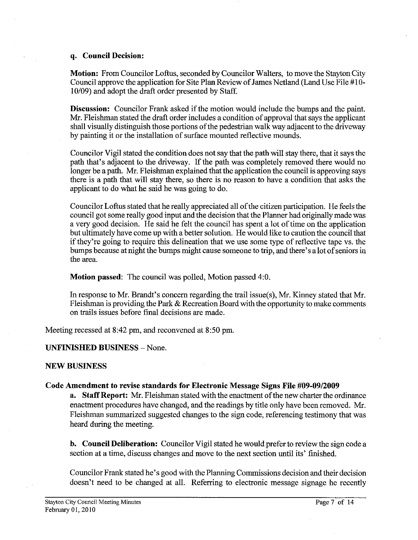#### **q. Council Decision:**

**Motion:** From Councilor Loftus, seconded by Councilor Walters, to move the Stayton City Council approve the application for Site Plan Review of James Netland (Land Use File #lo-10109) and adopt the draft order presented by Staff.

**Discussion:** Councilor Frank asked if the motion would include the bumps and the paint. Mr. Fleishman stated the draft order includes a condition of approval that says the applicant shall visually distinguish those portions of the pedestrian walk way adjacent to the driveway by painting it or the installation of surface mounted reflective mounds.

Councilor Vigil stated the condition does not say that the path will stay there, that it says the path that's adjacent to the driveway. If the path was completely removed there would no longer be apath. Mr. Fleishman explained that the application the council is approving says there is a path that will stay there, so there is no reason to have a condition that asks the applicant to do what he said he was going to do.

Councilor Loftus stated that he really appreciated all of the citizen participation. He feels the council got some really good input and the decision that the Planner had originally made was a very good decision. He said he felt the council has spent a lot of time on the application but ultimately have come up with a better solution. He would like to caution the council that if they're going to require this delineation that we use some type of reflective tape vs. the bumps because at night the bumps might cause someone to trip, and there's a lot of seniors in the area.

**Motion passed:** The council was polled, Motion passed 4:O.

In response to Mr. Brandt's concern regarding the trail issue(s), Mr. Kinney stated that Mr. Fleishman is providing the Park  $&$  Recreation Board with the opportunity to make comments on trails issues before final decisions are made.

Meeting recessed at 8:42 pm, and reconvened at 8:50 pm.

### **UNFINISHED BUSINESS** - None,

### **NEW BUSINESS**

### **Code Amendment to revise standards for Electronic Message Signs File #09-09/2009**

**a. Staff Report: Mr.** Fleishman stated with the enactment of the new charter the ordinance enactment procedures have changed, and the readings by title only have been removed. Mr. Fleishman summarized suggested changes to the sign code, referencing testimony that was heard during the meeting.

**b. Council Deliberation:** Councilor Vigil stated he would prefer to review the sign code a section at a time, discuss changes and move to the next section until its' finished.

Councilor Frank stated he's good with the Planning Commissions decision and their decision doesn't need to be changed at all. Referring to electronic message signage he recently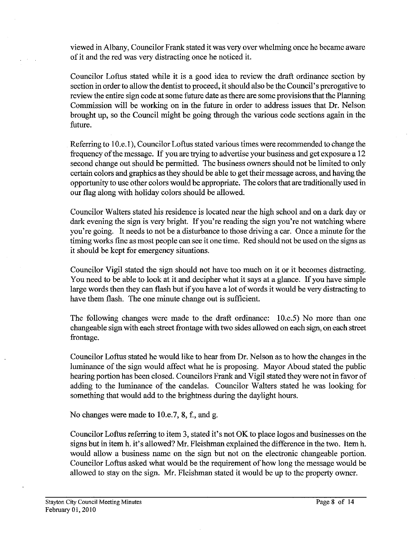viewed in Albany, Councilor Frank stated it was very over whelming once he became aware of it and the red was very distracting once he noticed it.

Councilor Loftus stated while it is a good idea to review the draft ordinance section by section in order to allow the dentist to proceed, it should also be the Council's prerogative to review the entire sign code at some future date as there are some provisions that the Planning Commission will be working on in the future in order to address issues that Dr. Nelson brought up, so the Council might be going through the various code sections again in the future.

Referring to 10.e.1), Councilor Loftus stated various times were recommended to change the frequency of the message. If you are trying to advertise your business and get exposure a 12 second change out should be permitted. The business owners should not be limited to only certain colors and graphics asthey should be able to get their message across, and having the opportunity to use other colors would be appropriate. The colors that are traditionally used in our flag along with holiday colors should be allowed.

Councilor Walters stated his residence is located near the high school and on a dark day or dark evening the sign is very bright. If you're reading the sign you're not watching where you're going. It needs to not be a disturbance to those driving a car. Once a minute for the timing works fine as most people can see it one time. Red should not be used on the signs as it should be kept for emergency situations.

Councilor Vigil stated the sign should not have too much on it or it becomes distracting. You need to be able to look at it and decipher what it says at a glance. **If** you have simple large words then they can flash but if you have a lot of words it would be very distracting to have them flash. The one minute change out is sufficient.

The following changes were made to the draft ordinance: 10.e.5) No more than one changeable sign with each street frontage with two sides allowed on each sign, on each street frontage.

Councilor Loftus stated he would like to hear from Dr. Nelson as to how the changes in the luminance of the sign would affect what he is proposing. Mayor Aboud stated the public hearing portion has been closed. Councilors Frank and Vigil stated they were not in favor of adding to the luminance of the candela. Councilor Walters stated he was looking for something that would add to the brightness during the daylight hours.

No changes were made to 10.e.7, 8, f., and g.

Councilor Loftus referring to item **3,** stated it's not OK to place logos and businesses on the signs but in item h. it's allowed? Mr. Fleishman explained the difference in the two. Item h. would allow a business name on the sign but not on the electronic changeable portion. Councilor Loftus asked what would be the requirement of how long the message would be allowed to stay on the sign. Mr. Fleishman stated it would be up to the property owner.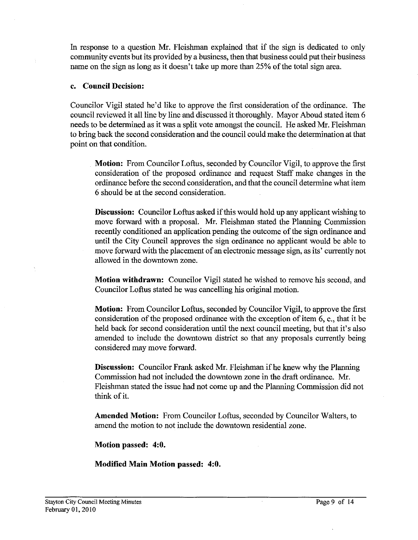In response to a question Mr. Fleishman explained that if the sign is dedicated to only community events but its provided by a business, then that business could put their business name on the sign as long as it doesn't take up more than 25% of the total sign area.

# **c. Council Decision:**

Councilor Vigil stated he'd like to approve the first consideration of the ordinance. The council reviewed it all line by line and discussed it thoroughly. Mayor Aboud stated item 6 needs to be determined as it was a split vote amongst the council. He asked Mr. Fleishman to bring back the second consideration and the council could make the determination at that point on that condition.

**Motion:** From Councilor Loftus, seconded by Councilor Vigil, to approve the first consideration of the proposed ordinance and request Staff make changes in the ordinance before the second consideration, and that the council determine what item 6 should be at the second consideration.

**Discussion:** Councilor Loftus asked if this would hold up any applicant wishing to move forward with a proposal. Mr. Fleishman stated the Planning Commission recently conditioned an application pending the outcome of the sign ordinance and until the City Council approves the sign ordinance no applicant would be able to move forward with the placement of an electronic message sign, as its' currently not allowed in the downtown zone.

**Motion withdrawn:** Councilor Vigil stated he wished to remove his second, and Councilor Loftus stated he was cancelling his original motion.

**Motion:** From Councilor Loftus, seconded by Councilor Vigil, to approve the first consideration of the proposed ordinance with the exception of item 6, e., that it be held back for second consideration until the next council meeting, but that it's also amended to include the downtown district so that any proposals currently being considered may move fonvard.

**Discussion:** Councilor Frank asked Mr. Fleishman if he knew why the Planning Commission had not included the downtown zone in the draft ordinance. Mr. Fleishman stated the issue had not come up and the Planning Commission did not think of it.

**Amended Motion:** From Councilor Loftus, seconded by Councilor Walters, to amend the motion to not include the downtown residential zone.

**Motion passed: 4:O.** 

**Modified Main Motion passed: 4:O.**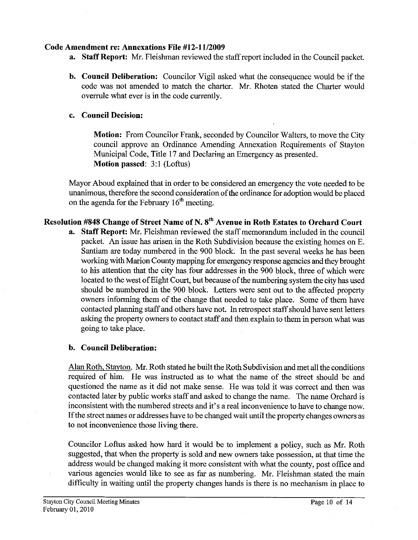# **Code Amendment re: Annexations File #12-1112009**

- **a. Staff Report: Mr.** Fleishman reviewed the staff report included in the Council packet.
- **b. Council Deliberation:** Councilor Vigil asked what the consequence would be if the code was not amended to match the charter. Mr. Rhoten stated the Charter would overrule what ever is in the code currently.

# **c. Council Decision:**

**Motion:** From Councilor Frank, seconded by Councilor Walters, to move the City council approve an Ordinance Amending Annexation Requirements of Stayton Municipal Code, Title 17 and Declaring an Emergency as presented. **Motion passed: 3:1 (Loftus)** 

Mayor Aboud explained that in order to be considered an emergency the vote needed to be unanimous, therefore the second consideration of the ordinance for adoption would be placed on the agenda for the February  $16<sup>th</sup>$  meeting.

# **Resolution #848 Change of Street Name of N. sth Avenue in Roth Estates to Orchard Court**

**a. Staff Report:** Mr. Fleishman reviewed the staff memorandum included in the council packet. An issue has arisen in the Roth Subdivision because the existing homes on E. Santiam are today numbered in the 900 block. In the past several weeks he has been working with Marion County mapping for emergency response agencies and they brought to his attention that the city has four addresses in the 900 block, three of which were located to the west of Eight Court, but because of the numbering system the city has used should be numbered in the 900 block. Letters were sent out to the affected property owners informing them of the change that needed to take place. Some of them have contacted planning staff and others have not. In retrospect staff should have sent letters asking the property owners to contact staff and then explain to them in person what was going to take place.

# **b. Council Deliberation:**

Alan Roth. Stayton. Mr. Roth stated he built the Roth Subdivision and met all the conditions required of him. He was instructed as to what the name of the street should be and questioned the name as it did not make sense. He was told it was correct and then was contacted later by public works staff and asked to change the name. The name Orchard is inconsistent with the numbered streets and it's a real inconvenience to have to change now. If the street names or addresses have to be changed wait until the property changes owners as to not inconvenience those living there.

Councilor Loftus asked how hard it would be to implement a policy, such as Mr. Roth suggested, that when the property is sold and new owners take possession, at that time the address would be changed making it more consistent with what the county, post office and various agencies would like to see as far as numbering. Mr. Fleishman stated the main difficulty in waiting until the property changes hands is there is no mechanism in place to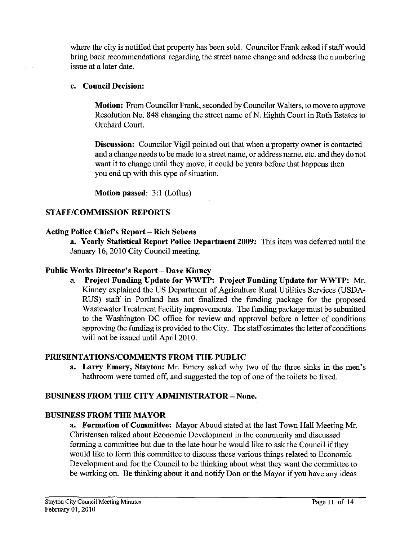where the city is notified that property has been sold. Councilor Frank asked if staff would bring back recommendations regarding the street name change and address the numbering issue at a later date.

# **c. Council Decision:**

**Motion:** From Councilor Frank, seconded by Councilor Walters, to move to approve Resolution No. 848 changing the street name of N. Eighth Court in Roth Estates to Orchard Court.

**Discussion:** Councilor Vigil pointed out that when a property owner is contacted and a change needs to be made to a street name, or address name, etc. and they do not want it to change until they move, it could be years before that happens then you end up with this type of situation.

**Motion passed: 3:l** (Loftus)

# **STAFFICOMMISSION REPORTS**

### **Acting Police Chiefs Report** - **Rich Sebeus**

**a. Yearly Statistical Report Police Department 2009:** This item was deferred until the January 16,2010 City Council meeting.

# **Public Works Director's Report** - **Dave Kinney**

a. **Project Funding Update for WWTP: Project Funding Update for WWTP:** Mr. Kinney explained the US Department of Agriculture Rural Utilities Services (USDA-RUS) staff in Portland has not finalized the funding package for the proposed Wastewater Treatment Facility improvements. The funding package must be submitted to the Washington DC office for review and approval before a letter of conditions approving the funding is provided to the City. The staff estimates the letter of conditions will not be issued until April 2010.

# **PRESENTATIONSICOMMENTS FROM THE PUBLIC**

**a.** Larry Emery, Stayton: Mr. Emery asked why two of the three sinks in the men's bathroom were turned off, and suggested the top of one of the toilets be fixed.

# **BUSINESS FROM THE CITY ADMINISTRATOR** - **None.**

### **BUSINESS FROM THE MAYOR**

**a. Formation of Committee:** Mayor Aboud stated at the last Town Hall Meeting Mr. Christensen talked about Economic Development in the community and discussed forming a committee but due to the late hour he would like to ask the Council if they would like to form this committee to discuss these various things related to Economic Development and for the Council to be thinking about what they want the committee to be working on. Be thinking about it and notify Don or the Mayor if you have any ideas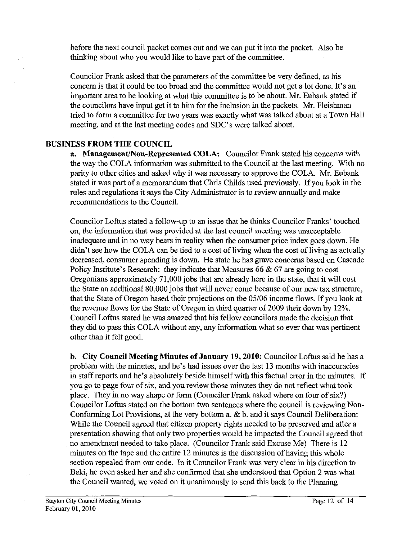before the next council packet comes out and we can put it into the packet. Also be thinking about who you would like to have part of the committee.

Councilor Frank asked that the parameters of the committee be very defined, as his concern is that it could be too broad and the committee would not get a lot done. It's an important area to be looking at what this committee is to be about. Mr. Eubank stated if the councilors have input get it to him for the inclusion in the packets. Mr. Fleishman tried to form a committee for two years was exactly what was talked about at a Town Hall meeting, and at the last meeting codes and SDC's were talked about.

#### **BUSINESS FROM THE COUNCIL**

**a. Management/Non-Represented COLA:** Councilor Frank stated his concerns with the way the COLA information was submitted to the Council at the last meeting. With no parity to other cities and asked why it was necessary to approve the COLA. Mr. Eubank stated it was part of a memorandum that Chris Childs used previously. If you look in the rules and regulations it says the City Administrator is to review annually and make recommendations to the Council.

Councilor Loftus stated a follow-up to an issue that he thinks Councilor Franks' touched on, the information that was provided at the last council meeting was unacceptable inadequate and in no way bears in reality when the consumer price index goes down. He didn't see how the COLA can be tied to a cost of living when the cost of living as actually decreased, consumer spending is down. He state he has grave concems based on Cascade Policy Institute's Research: they indicate that Measures 66  $& 67$  are going to cost Oregonians approximately 71,000 jobs that are already here in the state, that it will cost the State an additional 80,000 jobs that will never come because of our new tax structure, that the State of Oregon based their projections on the 05/06 income flows. If you look at the revenue flows for the State of Oregon in third quarter of 2009 their down by 12%. Council Loftus stated he was amazed that his fellow councilors made the decision that they did to pass this COLA without any, any information what so ever that was pertinent other than it felt good.

**b. City Council Meeting Minutes of January 19,2010:** Councilor Loftus said he has a problem with the minutes, and he's had issues over the last 13 months with inaccuracies in staff reports and he's absolutely beside himself with this factual error in the minutes. If you go to page four of six, and you review those minutes they do not reflect what took place. They in no way shape or form (Councilor Frank asked where on four of six?) Councilor Loftus stated on the bottom two sentences where the council is reviewing Non-Conforming Lot Provisions, at the very bottom a. & b. and it says Council Deliberation: While the Council agreed that citizen property rights needed to be preserved and after a presentation showing that only two properties would be impacted the Council agreed that no amendment needed to take place. (Councilor Frank said Excuse Me) There is 12 minutes on the tape and the entire 12 minutes is the discussion of having this whole section repealed from our code. In it Councilor Frank was very clear in his direction to Beki, he even asked her and she confirmed that she understood that Option 2 was what the Council wanted, we voted on it unanimously to send this back to the Planning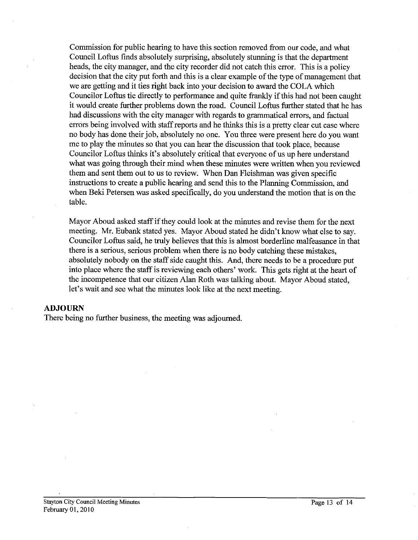Commission for public hearing to have this section removed from our code, and what Council Loftus fmds absolutely surprising, absolutely stunning is that the department heads, the city manager, and the city recorder did not catch this error. This is a policy decision that the city put forth and this is a clear example of the type of management that we are getting and it ties right back into your decision to award the COLA which Councilor Loftus tie directly to performance and quite frankly if this had not been caught it would create further problems down the road. Council Loftus further stated that he has had discussions with the city manager with regards to grammatical errors, and factual errors being involved with staff reports and he thinks this is a pretty clear cut case where no body has done their job, absolutely no one. You three were present here do you want me to play the minutes so that you can hear the discussion that took place, because Councilor Loftus thinks it's absolutely critical that everyone of us up here understand what was going through their mind when these minutes were written when you reviewed them and sent them out to us to review. When Dan Fleishman was given specific instructions to create a public hearing and send this to the Planning Commission, and when Beki Petersen was asked specifically, do you understand the motion that is on the table.

Mayor Aboud asked staff if they could look at the minutes and revise them for the next meeting. Mr. Eubank stated yes. Mayor Aboud stated he didn't know what else to say. Councilor Loftus said, he truly believes that this is almost borderline malfeasance in that there is a serious, serious problem when there is no body catching these mistakes, absolutely nobody on the staff side caught this. And, there needs to be a procedure put into place where the staff is reviewing each others' work. This gets right at the heart of the incompetence that our citizen Alan Roth was talking about. Mayor Aboud stated, let's wait and see what the minutes look like at the next meeting.

#### ADJOURN

There being no further business, the meeting was adjourned.